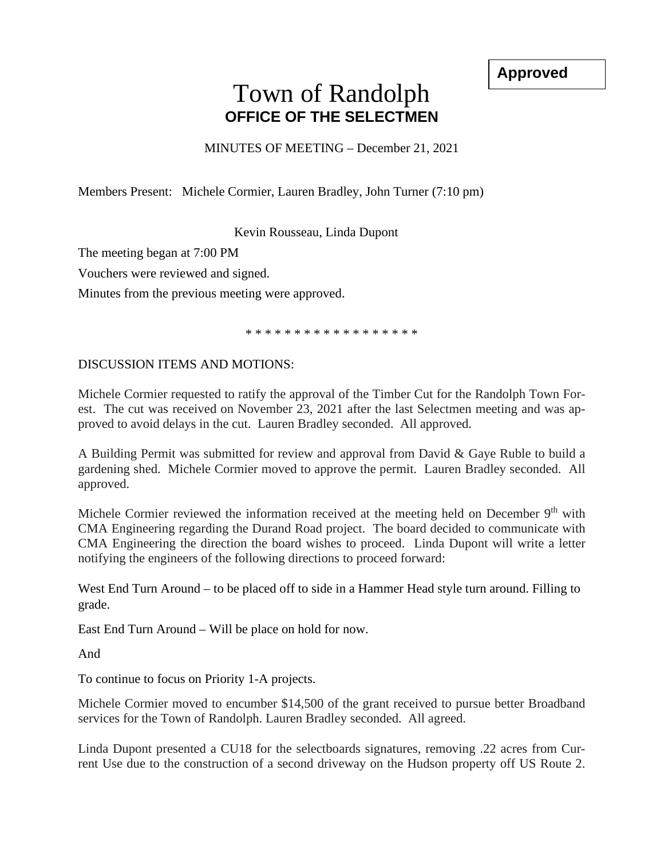**Approved**

## Town of Randolph **OFFICE OF THE SELECTMEN**

MINUTES OF MEETING – December 21, 2021

Members Present: Michele Cormier, Lauren Bradley, John Turner (7:10 pm)

Kevin Rousseau, Linda Dupont

The meeting began at 7:00 PM

Vouchers were reviewed and signed.

Minutes from the previous meeting were approved.

\* \* \* \* \* \* \* \* \* \* \* \* \* \* \* \* \* \*

## DISCUSSION ITEMS AND MOTIONS:

Michele Cormier requested to ratify the approval of the Timber Cut for the Randolph Town Forest. The cut was received on November 23, 2021 after the last Selectmen meeting and was approved to avoid delays in the cut. Lauren Bradley seconded. All approved.

A Building Permit was submitted for review and approval from David & Gaye Ruble to build a gardening shed. Michele Cormier moved to approve the permit. Lauren Bradley seconded. All approved.

Michele Cormier reviewed the information received at the meeting held on December  $9<sup>th</sup>$  with CMA Engineering regarding the Durand Road project. The board decided to communicate with CMA Engineering the direction the board wishes to proceed. Linda Dupont will write a letter notifying the engineers of the following directions to proceed forward:

West End Turn Around – to be placed off to side in a Hammer Head style turn around. Filling to grade.

East End Turn Around – Will be place on hold for now.

And

To continue to focus on Priority 1-A projects.

Michele Cormier moved to encumber \$14,500 of the grant received to pursue better Broadband services for the Town of Randolph. Lauren Bradley seconded. All agreed.

Linda Dupont presented a CU18 for the selectboards signatures, removing .22 acres from Current Use due to the construction of a second driveway on the Hudson property off US Route 2.